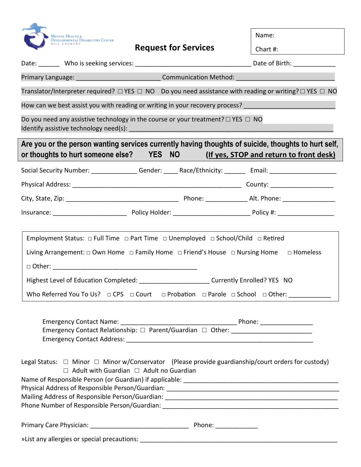

**Request for Services**

Name:

| HILL COUNTRY                                                                                                                                                                                                                                                                                                                                                                                                                   | <b>Request for Services</b>                                                                                                | Chart #:                                |  |
|--------------------------------------------------------------------------------------------------------------------------------------------------------------------------------------------------------------------------------------------------------------------------------------------------------------------------------------------------------------------------------------------------------------------------------|----------------------------------------------------------------------------------------------------------------------------|-----------------------------------------|--|
|                                                                                                                                                                                                                                                                                                                                                                                                                                |                                                                                                                            |                                         |  |
|                                                                                                                                                                                                                                                                                                                                                                                                                                | Primary Language: _________________________________Communication Method: ________                                          |                                         |  |
|                                                                                                                                                                                                                                                                                                                                                                                                                                | Translator/Interpreter required? $\Box$ YES $\Box$ NO Do you need assistance with reading or writing? $\Box$ YES $\Box$ NO |                                         |  |
|                                                                                                                                                                                                                                                                                                                                                                                                                                | How can we best assist you with reading or writing in your recovery process?                                               |                                         |  |
|                                                                                                                                                                                                                                                                                                                                                                                                                                | Do you need any assistive technology in the course or your treatment? $\Box$ YES $\Box$ NO                                 |                                         |  |
| or thoughts to hurt someone else? YES NO                                                                                                                                                                                                                                                                                                                                                                                       | Are you or the person wanting services currently having thoughts of suicide, thoughts to hurt self,                        | (If yes, STOP and return to front desk) |  |
|                                                                                                                                                                                                                                                                                                                                                                                                                                | Social Security Number: _________________Gender: ______ Race/Ethnicity: ________ Email: ______________________             |                                         |  |
|                                                                                                                                                                                                                                                                                                                                                                                                                                |                                                                                                                            |                                         |  |
|                                                                                                                                                                                                                                                                                                                                                                                                                                |                                                                                                                            |                                         |  |
|                                                                                                                                                                                                                                                                                                                                                                                                                                |                                                                                                                            |                                         |  |
| Employment Status: $\Box$ Full Time $\Box$ Part Time $\Box$ Unemployed $\Box$ School/Child $\Box$ Retired<br>Living Arrangement: $\Box$ Own Home $\Box$ Family Home $\Box$ Friend's House $\Box$ Nursing Home $\Box$ Homeless<br>Highest Level of Education Completed: _____________________________ Currently Enrolled? YES NO<br>Who Referred You To Us?  □ CPS  □ Court  □ Probation  □ Parole □ School □ Other: __________ |                                                                                                                            |                                         |  |
| Emergency Contact Relationship: □ Parent/Guardian □ Other: _____________________                                                                                                                                                                                                                                                                                                                                               |                                                                                                                            |                                         |  |
| Legal Status: $\Box$ Minor $\Box$ Minor w/Conservator (Please provide guardianship/court orders for custody)<br>$\Box$ Adult with Guardian $\Box$ Adult no Guardian                                                                                                                                                                                                                                                            |                                                                                                                            |                                         |  |
|                                                                                                                                                                                                                                                                                                                                                                                                                                |                                                                                                                            |                                         |  |
|                                                                                                                                                                                                                                                                                                                                                                                                                                |                                                                                                                            |                                         |  |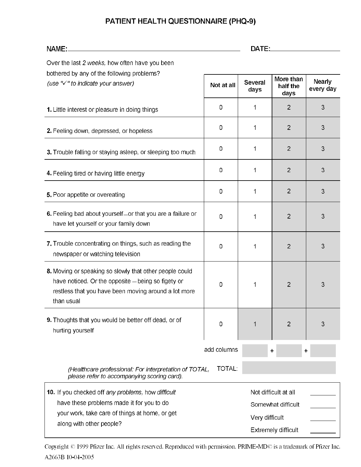## PATIENT HEALTH QUESTIONNAIRE (PHQ-9)

| NAME:                                                                                                                                                                               |                | DATE:                  |                                                                          |                            |
|-------------------------------------------------------------------------------------------------------------------------------------------------------------------------------------|----------------|------------------------|--------------------------------------------------------------------------|----------------------------|
| Over the last 2 weeks, how often have you been                                                                                                                                      |                |                        |                                                                          |                            |
| bothered by any of the following problems?<br>(use $"\checkmark"$ to indicate your answer)                                                                                          | Not at all     | <b>Several</b><br>days | More than<br>half the<br>days                                            | <b>Nearly</b><br>every day |
| 1. Little interest or pleasure in doing things                                                                                                                                      | $\overline{0}$ | 1                      | $\overline{2}$                                                           | 3                          |
| 2. Feeling down, depressed, or hopeless                                                                                                                                             | $\mathbf 0$    | 1                      | $\overline{2}$                                                           | 3                          |
| 3. Trouble falling or staying asleep, or sleeping too much                                                                                                                          | $\mathbf 0$    | 1                      | $\overline{2}$                                                           | 3                          |
| 4. Feeling tired or having little energy                                                                                                                                            | 0              | 1                      | $\overline{2}$                                                           | 3                          |
| 5. Poor appetite or overeating                                                                                                                                                      | $\mathbf 0$    | 1                      | $\overline{2}$                                                           | 3                          |
| 6. Feeling bad about yourself or that you are a failure or<br>have let yourself or your family down                                                                                 | $\mathbf 0$    | 1                      | $\overline{2}$                                                           | 3                          |
| 7. Trouble concentrating on things, such as reading the<br>newspaper or watching television                                                                                         | 0              | 1                      | $\overline{2}$                                                           | 3                          |
| 8. Moving or speaking so slowly that other people could<br>have noticed. Or the opposite - being so figety or<br>restless that you have been moving around a lot more<br>than usual | 0              | 1                      | $\overline{2}$                                                           | 3                          |
| 9. Thoughts that you would be better off dead, or of<br>hurting yourself                                                                                                            | 0              |                        | $\overline{2}$                                                           | 3                          |
|                                                                                                                                                                                     | add columns    |                        | $\ddot{}$<br>$\ddag$                                                     |                            |
| (Healthcare professional: For interpretation of TOTAL,<br>please refer to accompanying scoring card).                                                                               | <b>TOTAL:</b>  |                        |                                                                          |                            |
| 10. If you checked off any problems, how difficult<br>have these problems made it for you to do<br>your work, take care of things at home, or get<br>along with other people?       |                | Very difficult         | Not difficult at all<br>Somewhat difficult<br><b>Extremely difficult</b> |                            |

Copyright © 1999 Pfizer Inc. All rights reserved. Reproduced with permission. PRIME-MD© is a trademark of Pfizer Inc. A2663B 10-04-2005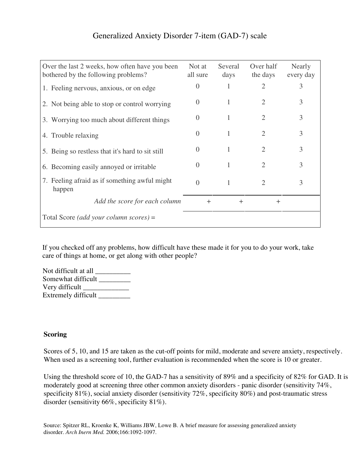## Generalized Anxiety Disorder 7-item (GAD-7) scale

| Over the last 2 weeks, how often have you been<br>bothered by the following problems? | Not at<br>all sure | Several<br>days | Over half<br>the days | Nearly<br>every day |
|---------------------------------------------------------------------------------------|--------------------|-----------------|-----------------------|---------------------|
| 1. Feeling nervous, anxious, or on edge                                               | $\theta$           | 1               | $\overline{2}$        | 3                   |
| 2. Not being able to stop or control worrying                                         | 0                  |                 | $\overline{2}$        | 3                   |
| 3. Worrying too much about different things                                           | $\Omega$           | 1               | $\overline{2}$        | 3                   |
| 4. Trouble relaxing                                                                   | $\theta$           | 1               | 2                     | 3                   |
| 5. Being so restless that it's hard to sit still                                      | $\mathbf{\Omega}$  | 1               | $\overline{2}$        | 3                   |
| 6. Becoming easily annoyed or irritable                                               | $\theta$           | 1               | 2                     | 3                   |
| 7. Feeling afraid as if something awful might<br>happen                               | $\Omega$           | 1               | $\overline{2}$        | 3                   |
| Add the score for each column                                                         | $+$                | $+$             | $+$                   |                     |
| Total Score (add your column scores) =                                                |                    |                 |                       |                     |

If you checked off any problems, how difficult have these made it for you to do your work, take care of things at home, or get along with other people?

Not difficult at all \_\_\_\_\_\_\_\_\_\_ Somewhat difficult \_\_\_\_\_\_\_\_\_\_ Very difficult \_\_\_\_\_\_\_\_\_\_\_\_\_ Extremely difficult

## **Scoring**

Scores of 5, 10, and 15 are taken as the cut-off points for mild, moderate and severe anxiety, respectively. When used as a screening tool, further evaluation is recommended when the score is 10 or greater.

Using the threshold score of 10, the GAD-7 has a sensitivity of 89% and a specificity of 82% for GAD. It is moderately good at screening three other common anxiety disorders - panic disorder (sensitivity 74%, specificity 81%), social anxiety disorder (sensitivity 72%, specificity 80%) and post-traumatic stress disorder (sensitivity 66%, specificity 81%).

Source: Spitzer RL, Kroenke K, Williams JBW, Lowe B. A brief measure for assessing generalized anxiety disorder. *Arch Inern Med.* 2006;166:1092-1097.